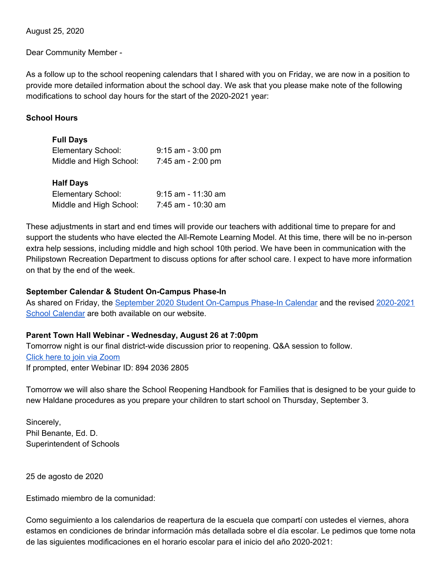August 25, 2020

Dear Community Member -

As a follow up to the school reopening calendars that I shared with you on Friday, we are now in a position to provide more detailed information about the school day. We ask that you please make note of the following modifications to school day hours for the start of the 2020-2021 year:

## **School Hours**

## **Full Days**

| Elementary School:                     | $9:15$ am - 3:00 pm  |
|----------------------------------------|----------------------|
| Middle and High School:                | 7:45 am - 2:00 pm    |
| <b>Half Days</b><br>Elementary School: | $9:15$ am - 11:30 am |

Middle and High School: 7:45 am - 10:30 am

These adjustments in start and end times will provide our teachers with additional time to prepare for and support the students who have elected the All-Remote Learning Model. At this time, there will be no in-person extra help sessions, including middle and high school 10th period. We have been in communication with the Philipstown Recreation Department to discuss options for after school care. I expect to have more information on that by the end of the week.

## **September Calendar & Student On-Campus Phase-In**

As shared on Friday, the September 2020 Student [On-Campus](https://resources.finalsite.net/images/v1598030442/haldaneschoolorg/oewuezyy4pzqlf1ns70n/StudentOn-CampusPhase-In-Sept2020.pdf) Phase-In Calendar and the revised [2020-2021](https://resources.finalsite.net/images/v1598360229/haldaneschoolorg/pktqnmffwkqwaiyydkkn/HCSDcalendar2020-218_22_20_1.pdf) School [Calendar](https://resources.finalsite.net/images/v1598360229/haldaneschoolorg/pktqnmffwkqwaiyydkkn/HCSDcalendar2020-218_22_20_1.pdf) are both available on our website.

## **Parent Town Hall Webinar - Wednesday, August 26 at 7:00pm**

Tomorrow night is our final district-wide discussion prior to reopening. Q&A session to follow. Click here to join via [Zoom](https://us02web.zoom.us/w/89420362805?tk=xkeRTkVbEbUMiv33imBEOTR-VOIz706SrxjDBplGkds.DQIAAAAU0d50NRZJWjhySXBBUlNoQzdlckhSRlp0d29RAAAAAAAAAAAAAAAAAAAAAAAAAAAA&uuid=WN_Gntn8PmIR3mM20SP9tPShQ) If prompted, enter Webinar ID: 894 2036 2805

Tomorrow we will also share the School Reopening Handbook for Families that is designed to be your guide to new Haldane procedures as you prepare your children to start school on Thursday, September 3.

Sincerely, Phil Benante, Ed. D. Superintendent of Schools

25 de agosto de 2020

Estimado miembro de la comunidad:

Como seguimiento a los calendarios de reapertura de la escuela que compartí con ustedes el viernes, ahora estamos en condiciones de brindar información más detallada sobre el día escolar. Le pedimos que tome nota de las siguientes modificaciones en el horario escolar para el inicio del año 2020-2021: